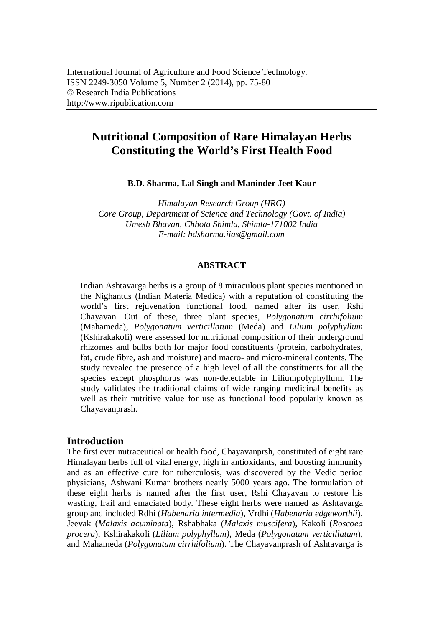# **Nutritional Composition of Rare Himalayan Herbs Constituting the World's First Health Food**

**B.D. Sharma, Lal Singh and Maninder Jeet Kaur**

*Himalayan Research Group (HRG) Core Group, Department of Science and Technology (Govt. of India) Umesh Bhavan, Chhota Shimla, Shimla-171002 India E-mail: bdsharma.iias@gmail.com*

## **ABSTRACT**

Indian Ashtavarga herbs is a group of 8 miraculous plant species mentioned in the Nighantus (Indian Materia Medica) with a reputation of constituting the world's first rejuvenation functional food, named after its user, Rshi Chayavan. Out of these, three plant species, *Polygonatum cirrhifolium* (Mahameda), *Polygonatum verticillatum* (Meda) and *Lilium polyphyllum* (Kshirakakoli) were assessed for nutritional composition of their underground rhizomes and bulbs both for major food constituents (protein, carbohydrates, fat, crude fibre, ash and moisture) and macro- and micro-mineral contents. The study revealed the presence of a high level of all the constituents for all the species except phosphorus was non-detectable in Liliumpolyphyllum. The study validates the traditional claims of wide ranging medicinal benefits as well as their nutritive value for use as functional food popularly known as Chayavanprash.

## **Introduction**

The first ever nutraceutical or health food, Chayavanprsh, constituted of eight rare Himalayan herbs full of vital energy, high in antioxidants, and boosting immunity and as an effective cure for tuberculosis, was discovered by the Vedic period physicians, Ashwani Kumar brothers nearly 5000 years ago. The formulation of these eight herbs is named after the first user, Rshi Chayavan to restore his wasting, frail and emaciated body. These eight herbs were named as Ashtavarga group and included Rdhi (*Habenaria intermedia*), Vrdhi (*Habenaria edgeworthii*), Jeevak (*Malaxis acuminata*), Rshabhaka (*Malaxis muscifera*), Kakoli (*Roscoea procera*), Kshirakakoli (*Lilium polyphyllum)*, Meda (*Polygonatum verticillatum*), and Mahameda (*Polygonatum cirrhifolium*). The Chayavanprash of Ashtavarga is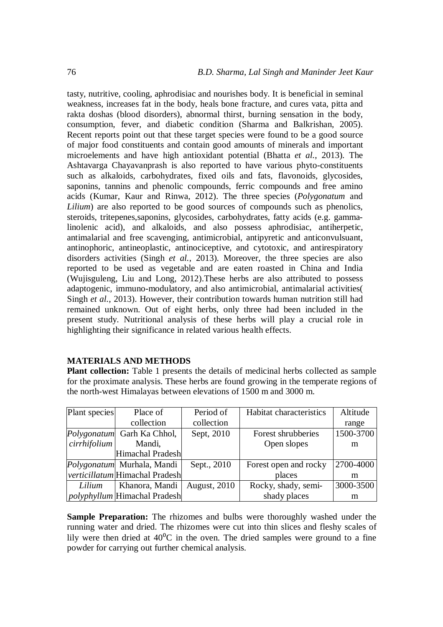tasty, nutritive, cooling, aphrodisiac and nourishes body. It is beneficial in seminal weakness, increases fat in the body, heals bone fracture, and cures vata, pitta and rakta doshas (blood disorders), abnormal thirst, burning sensation in the body, consumption, fever, and diabetic condition (Sharma and Balkrishan, 2005). Recent reports point out that these target species were found to be a good source of major food constituents and contain good amounts of minerals and important microelements and have high antioxidant potential (Bhatta *et al.*, 2013). The Ashtavarga Chayavanprash is also reported to have various phyto-constituents such as alkaloids, carbohydrates, fixed oils and fats, flavonoids, glycosides, saponins, tannins and phenolic compounds, ferric compounds and free amino acids (Kumar, Kaur and Rinwa, 2012). The three species (*Polygonatum* and *Lilium*) are also reported to be good sources of compounds such as phenolics, steroids, tritepenes,saponins, glycosides, carbohydrates, fatty acids (e.g. gammalinolenic acid), and alkaloids, and also possess aphrodisiac, antiherpetic, antimalarial and free scavenging, antimicrobial, antipyretic and anticonvulsuant, antinophoric, antineoplastic, antinociceptive, and cytotoxic, and antirespiratory disorders activities (Singh *et al.*, 2013). Moreover, the three species are also reported to be used as vegetable and are eaten roasted in China and India (Wujisguleng, Liu and Long, 2012).These herbs are also attributed to possess adaptogenic, immuno-modulatory, and also antimicrobial, antimalarial activities( Singh *et al.*, 2013). However, their contribution towards human nutrition still had remained unknown. Out of eight herbs, only three had been included in the present study. Nutritional analysis of these herbs will play a crucial role in highlighting their significance in related various health effects.

## **MATERIALS AND METHODS**

**Plant collection:** Table 1 presents the details of medicinal herbs collected as sample for the proximate analysis. These herbs are found growing in the temperate regions of the north-west Himalayas between elevations of 1500 m and 3000 m.

| Plant species         | Place of                              | Period of           | Habitat characteristics | Altitude  |
|-----------------------|---------------------------------------|---------------------|-------------------------|-----------|
|                       | collection                            | collection          |                         | range     |
|                       | Polygonatum Garh Ka Chhol,            | Sept, 2010          | Forest shrubberies      | 1500-3700 |
| cirrhifolium   Mandi, |                                       |                     | Open slopes             | m         |
|                       | Himachal Pradesh                      |                     |                         |           |
|                       | Polygonatum Murhala, Mandi            | Sept., 2010         | Forest open and rocky   | 2700-4000 |
|                       | <i>verticillatum</i> Himachal Pradesh |                     | places                  | m         |
| Lilium                | Khanora, Mandi                        | <b>August, 2010</b> | Rocky, shady, semi-     | 3000-3500 |
|                       | <i>polyphyllum</i> Himachal Pradesh   |                     | shady places            | m         |

**Sample Preparation:** The rhizomes and bulbs were thoroughly washed under the running water and dried. The rhizomes were cut into thin slices and fleshy scales of lily were then dried at  $40^{\circ}$ C in the oven. The dried samples were ground to a fine powder for carrying out further chemical analysis.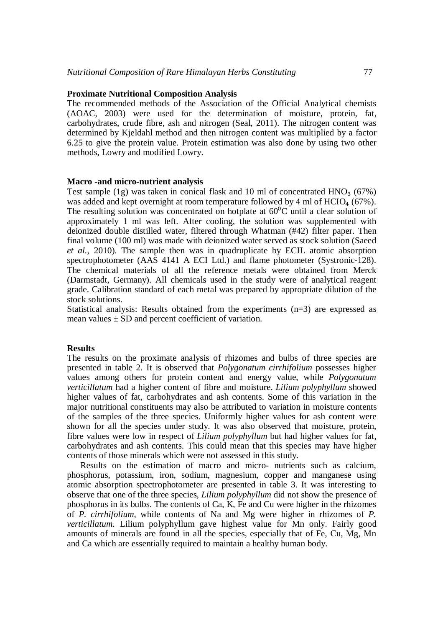#### **Proximate Nutritional Composition Analysis**

The recommended methods of the Association of the Official Analytical chemists (AOAC, 2003) were used for the determination of moisture, protein, fat, carbohydrates, crude fibre, ash and nitrogen (Seal, 2011). The nitrogen content was determined by Kjeldahl method and then nitrogen content was multiplied by a factor 6.25 to give the protein value. Protein estimation was also done by using two other methods, Lowry and modified Lowry.

#### **Macro -and micro-nutrient analysis**

Test sample (1g) was taken in conical flask and 10 ml of concentrated  $HNO<sub>3</sub>$  (67%) was added and kept overnight at room temperature followed by 4 ml of  $HClO<sub>4</sub>$  (67%). The resulting solution was concentrated on hotplate at  $60^{\circ}$ C until a clear solution of approximately 1 ml was left. After cooling, the solution was supplemented with deionized double distilled water, filtered through Whatman (#42) filter paper. Then final volume (100 ml) was made with deionized water served as stock solution (Saeed *et al.*, 2010). The sample then was in quadruplicate by ECIL atomic absorption spectrophotometer (AAS 4141 A ECI Ltd.) and flame photometer (Systronic-128). The chemical materials of all the reference metals were obtained from Merck (Darmstadt, Germany). All chemicals used in the study were of analytical reagent grade. Calibration standard of each metal was prepared by appropriate dilution of the stock solutions.

Statistical analysis: Results obtained from the experiments  $(n=3)$  are expressed as mean values  $\pm$  SD and percent coefficient of variation.

#### **Results**

The results on the proximate analysis of rhizomes and bulbs of three species are presented in table 2. It is observed that *Polygonatum cirrhifolium* possesses higher values among others for protein content and energy value, while *Polygonatum verticillatum* had a higher content of fibre and moisture. *Lilium polyphyllum* showed higher values of fat, carbohydrates and ash contents. Some of this variation in the major nutritional constituents may also be attributed to variation in moisture contents of the samples of the three species. Uniformly higher values for ash content were shown for all the species under study. It was also observed that moisture, protein, fibre values were low in respect of *Lilium polyphyllum* but had higher values for fat, carbohydrates and ash contents. This could mean that this species may have higher contents of those minerals which were not assessed in this study.

Results on the estimation of macro and micro- nutrients such as calcium, phosphorus, potassium, iron, sodium, magnesium, copper and manganese using atomic absorption spectrophotometer are presented in table 3. It was interesting to observe that one of the three species*, Lilium polyphyllum* did not show the presence of phosphorus in its bulbs. The contents of Ca, K, Fe and Cu were higher in the rhizomes of *P. cirrhifolium*, while contents of Na and Mg were higher in rhizomes of *P. verticillatum*. Lilium polyphyllum gave highest value for Mn only. Fairly good amounts of minerals are found in all the species, especially that of Fe, Cu, Mg, Mn and Ca which are essentially required to maintain a healthy human body.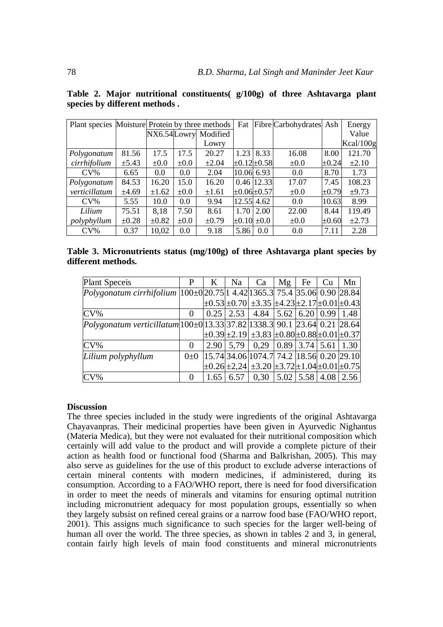|               |            | Plant species Moisture Protein by three methods |           |                      | Fat                 |                     | Fibre Carbohydrates Ash |            | Energy     |
|---------------|------------|-------------------------------------------------|-----------|----------------------|---------------------|---------------------|-------------------------|------------|------------|
|               |            |                                                 |           | NX6.54Lowry Modified |                     |                     |                         |            | Value      |
|               |            |                                                 |           | Lowry                |                     |                     |                         |            | Kcal/100g  |
| Polygonatum   | 81.56      | 17.5                                            | 17.5      | 20.27                | 1.23                | 8.33                | 16.08                   | 8.00       | 121.70     |
| cirrhifolium  | ±5.43      | $\pm 0.0$                                       | $\pm 0.0$ | $\pm 2.04$           | $\pm 0.12 \pm 0.58$ |                     | $\pm 0.0$               | $\pm 0.24$ | $\pm 2.10$ |
| $CV\%$        | 6.65       | 0.0                                             | 0.0       | 2.04                 | 10.06 6.93          |                     | 0.0                     | 8.70       | 1.73       |
| Polygonatum   | 84.53      | 16.20                                           | 15.0      | 16.20                |                     | 0.46 12.33          | 17.07                   | 7.45       | 108.23     |
| verticillatum | ±4.69      | $\pm 1.62$                                      | $\pm 0.0$ | $\pm 1.61$           |                     | $\pm 0.06 \pm 0.57$ | $\pm 0.0$               | $\pm 0.79$ | $\pm 9.73$ |
| $CV\%$        | 5.55       | 10.0                                            | 0.0       | 9.94                 | 12.55 4.62          |                     | 0.0                     | 10.63      | 8.99       |
| Lilium        | 75.51      | 8.18                                            | 7.50      | 8.61                 | 1.70                | 2.00                | 22.00                   | 8.44       | 119.49     |
| polyphyllum   | $\pm 0.28$ | $\pm 0.82$                                      | $\pm 0.0$ | $\pm 0.79$           | $\pm 0.10 \pm 0.0$  |                     | $\pm 0.0$               | $\pm 0.60$ | $\pm 2.73$ |
| $CV\%$        | 0.37       | 10,02                                           | 0.0       | 9.18                 | 5.86                | 0.0                 | 0.0                     | 7.11       | 2.28       |

**Table 2. Major nutritional constituents( g/100g) of three Ashtavarga plant species by different methods .**

| Table 3. Micronutrients status (mg/100g) of three Ashtavarga plant species by |  |  |  |  |
|-------------------------------------------------------------------------------|--|--|--|--|
| different methods.                                                            |  |  |  |  |

| P        | K | Na | Ca | Mg                    | Fe | Cu | Mn                                                                                                                                                                                                                                                                                                                                                                                                                                                                                                                                                                                                                                                                 |
|----------|---|----|----|-----------------------|----|----|--------------------------------------------------------------------------------------------------------------------------------------------------------------------------------------------------------------------------------------------------------------------------------------------------------------------------------------------------------------------------------------------------------------------------------------------------------------------------------------------------------------------------------------------------------------------------------------------------------------------------------------------------------------------|
|          |   |    |    |                       |    |    |                                                                                                                                                                                                                                                                                                                                                                                                                                                                                                                                                                                                                                                                    |
|          |   |    |    |                       |    |    |                                                                                                                                                                                                                                                                                                                                                                                                                                                                                                                                                                                                                                                                    |
|          |   |    |    |                       |    |    |                                                                                                                                                                                                                                                                                                                                                                                                                                                                                                                                                                                                                                                                    |
|          |   |    |    |                       |    |    |                                                                                                                                                                                                                                                                                                                                                                                                                                                                                                                                                                                                                                                                    |
|          |   |    |    |                       |    |    |                                                                                                                                                                                                                                                                                                                                                                                                                                                                                                                                                                                                                                                                    |
|          |   |    |    |                       |    |    |                                                                                                                                                                                                                                                                                                                                                                                                                                                                                                                                                                                                                                                                    |
| $0\pm 0$ |   |    |    |                       |    |    |                                                                                                                                                                                                                                                                                                                                                                                                                                                                                                                                                                                                                                                                    |
|          |   |    |    |                       |    |    |                                                                                                                                                                                                                                                                                                                                                                                                                                                                                                                                                                                                                                                                    |
|          |   |    |    |                       |    |    |                                                                                                                                                                                                                                                                                                                                                                                                                                                                                                                                                                                                                                                                    |
|          |   |    |    | $1.65 \mid 6.57 \mid$ |    |    | Polygonatum cirrhifolium  100±0 20.75 1 4.42 1365.3  75.4  35.06  0.90  28.84 <br>$\pm 0.53 \pm 0.70 \pm 3.35 \pm 4.23 \pm 2.17 \pm 0.01 \pm 0.43$<br>$0.25$   2.53   4.84   5.62   6.20   0.99   1.48  <br>Polygonatum verticillatum 100±0 13.33 37.82 1338.3  90.1  23.64  0.21  28.64 <br>$\pm 0.39 \pm 2.19 \pm 3.83 \pm 0.80 \pm 0.88 \pm 0.01 \pm 0.37$<br>$2.90 \mid 5.79 \mid 0.29 \mid 0.89 \mid 3.74 \mid 5.61 \mid 1.30 \mid$<br>$\left  15.74 \right $ 34.06 $\left  1074.7 \right $ 74.2 $\left  18.56 \right $ 0.20 $\left  29.10 \right $<br>$\pm 0.26 \pm 2.24 \pm 3.20 \pm 3.72 \pm 1.04 \pm 0.01 \pm 0.75$<br>$0,30$   5.02   5.58   4.08   2.56 |

## **Discussion**

The three species included in the study were ingredients of the original Ashtavarga Chayavanpras. Their medicinal properties have been given in Ayurvedic Nighantus (Materia Medica), but they were not evaluated for their nutritional composition which certainly will add value to the product and will provide a complete picture of their action as health food or functional food (Sharma and Balkrishan, 2005). This may also serve as guidelines for the use of this product to exclude adverse interactions of certain mineral contents with modern medicines, if administered, during its consumption. According to a FAO/WHO report, there is need for food diversification in order to meet the needs of minerals and vitamins for ensuring optimal nutrition including micronutrient adequacy for most population groups, essentially so when they largely subsist on refined cereal grains or a narrow food base (FAO/WHO report, 2001). This assigns much significance to such species for the larger well-being of human all over the world. The three species, as shown in tables 2 and 3, in general, contain fairly high levels of main food constituents and mineral micronutrients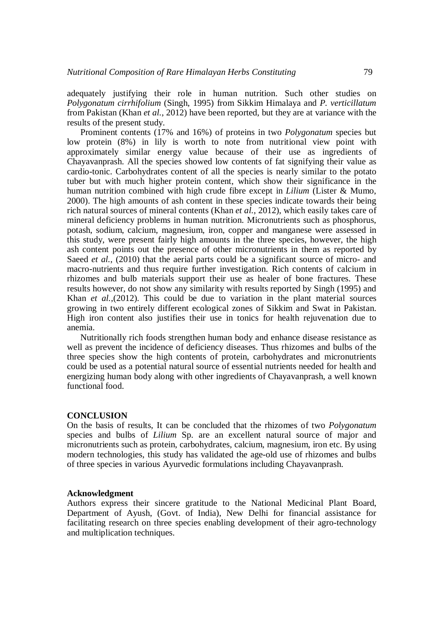adequately justifying their role in human nutrition. Such other studies on *Polygonatum cirrhifolium* (Singh, 1995) from Sikkim Himalaya and *P. verticillatum* from Pakistan (Khan *et al.*, 2012) have been reported, but they are at variance with the results of the present study.

Prominent contents (17% and 16%) of proteins in two *Polygonatum* species but low protein (8%) in lily is worth to note from nutritional view point with approximately similar energy value because of their use as ingredients of Chayavanprash. All the species showed low contents of fat signifying their value as cardio-tonic. Carbohydrates content of all the species is nearly similar to the potato tuber but with much higher protein content, which show their significance in the human nutrition combined with high crude fibre except in *Lilium* (Lister & Mumo, 2000). The high amounts of ash content in these species indicate towards their being rich natural sources of mineral contents (Khan *et al.*, 2012), which easily takes care of mineral deficiency problems in human nutrition. Micronutrients such as phosphorus, potash, sodium, calcium, magnesium, iron, copper and manganese were assessed in this study, were present fairly high amounts in the three species, however, the high ash content points out the presence of other micronutrients in them as reported by Saeed *et al.*, (2010) that the aerial parts could be a significant source of micro- and macro-nutrients and thus require further investigation. Rich contents of calcium in rhizomes and bulb materials support their use as healer of bone fractures. These results however, do not show any similarity with results reported by Singh (1995) and Khan *et al.*,(2012). This could be due to variation in the plant material sources growing in two entirely different ecological zones of Sikkim and Swat in Pakistan. High iron content also justifies their use in tonics for health rejuvenation due to anemia.

Nutritionally rich foods strengthen human body and enhance disease resistance as well as prevent the incidence of deficiency diseases. Thus rhizomes and bulbs of the three species show the high contents of protein, carbohydrates and micronutrients could be used as a potential natural source of essential nutrients needed for health and energizing human body along with other ingredients of Chayavanprash, a well known functional food.

#### **CONCLUSION**

On the basis of results, It can be concluded that the rhizomes of two *Polygonatum* species and bulbs of *Lilium* Sp. are an excellent natural source of major and micronutrients such as protein, carbohydrates, calcium, magnesium, iron etc. By using modern technologies, this study has validated the age-old use of rhizomes and bulbs of three species in various Ayurvedic formulations including Chayavanprash.

#### **Acknowledgment**

Authors express their sincere gratitude to the National Medicinal Plant Board, Department of Ayush, (Govt. of India), New Delhi for financial assistance for facilitating research on three species enabling development of their agro-technology and multiplication techniques.